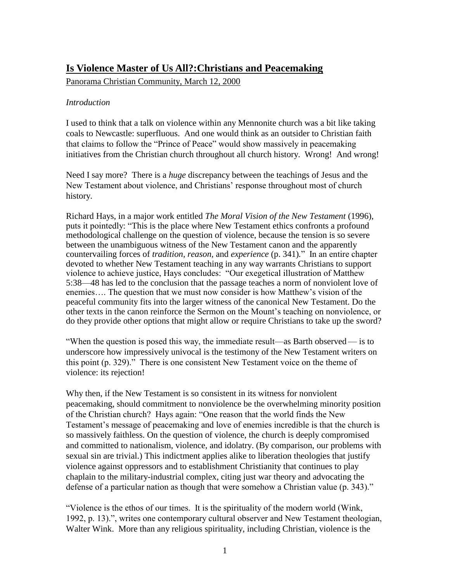# **Is Violence Master of Us All?:Christians and Peacemaking**

Panorama Christian Community, March 12, 2000

## *Introduction*

I used to think that a talk on violence within any Mennonite church was a bit like taking coals to Newcastle: superfluous. And one would think as an outsider to Christian faith that claims to follow the "Prince of Peace" would show massively in peacemaking initiatives from the Christian church throughout all church history. Wrong! And wrong!

Need I say more? There is a *huge* discrepancy between the teachings of Jesus and the New Testament about violence, and Christians' response throughout most of church history.

Richard Hays, in a major work entitled *The Moral Vision of the New Testament* (1996), puts it pointedly: "This is the place where New Testament ethics confronts a profound methodological challenge on the question of violence, because the tension is so severe between the unambiguous witness of the New Testament canon and the apparently countervailing forces of *tradition, reason,* and *experience* (p. 341)*.*" In an entire chapter devoted to whether New Testament teaching in any way warrants Christians to support violence to achieve justice, Hays concludes: "Our exegetical illustration of Matthew 5:38—48 has led to the conclusion that the passage teaches a norm of nonviolent love of enemies…. The question that we must now consider is how Matthew's vision of the peaceful community fits into the larger witness of the canonical New Testament. Do the other texts in the canon reinforce the Sermon on the Mount's teaching on nonviolence, or do they provide other options that might allow or require Christians to take up the sword?

"When the question is posed this way, the immediate result—as Barth observed — is to underscore how impressively univocal is the testimony of the New Testament writers on this point (p. 329)." There is one consistent New Testament voice on the theme of violence: its rejection!

Why then, if the New Testament is so consistent in its witness for nonviolent peacemaking, should commitment to nonviolence be the overwhelming minority position of the Christian church? Hays again: "One reason that the world finds the New Testament's message of peacemaking and love of enemies incredible is that the church is so massively faithless. On the question of violence, the church is deeply compromised and committed to nationalism, violence, and idolatry. (By comparison, our problems with sexual sin are trivial.) This indictment applies alike to liberation theologies that justify violence against oppressors and to establishment Christianity that continues to play chaplain to the military-industrial complex, citing just war theory and advocating the defense of a particular nation as though that were somehow a Christian value (p. 343)."

"Violence is the ethos of our times. It is the spirituality of the modern world (Wink, 1992, p. 13).", writes one contemporary cultural observer and New Testament theologian, Walter Wink. More than any religious spirituality, including Christian, violence is the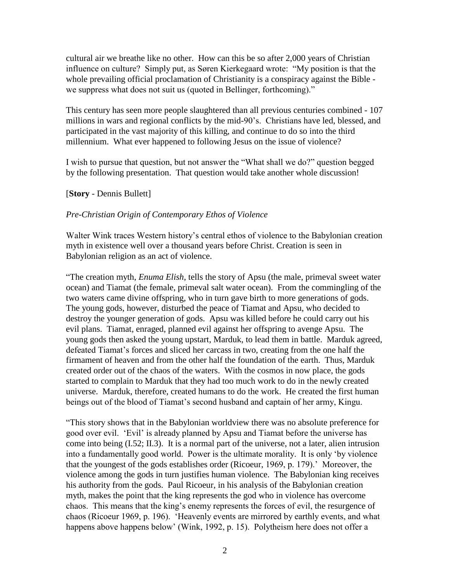cultural air we breathe like no other. How can this be so after 2,000 years of Christian influence on culture? Simply put, as Søren Kierkegaard wrote: "My position is that the whole prevailing official proclamation of Christianity is a conspiracy against the Bible we suppress what does not suit us (quoted in Bellinger, forthcoming)."

This century has seen more people slaughtered than all previous centuries combined - 107 millions in wars and regional conflicts by the mid-90's. Christians have led, blessed, and participated in the vast majority of this killing, and continue to do so into the third millennium. What ever happened to following Jesus on the issue of violence?

I wish to pursue that question, but not answer the "What shall we do?" question begged by the following presentation. That question would take another whole discussion!

#### [**Story** - Dennis Bullett]

## *Pre-Christian Origin of Contemporary Ethos of Violence*

Walter Wink traces Western history's central ethos of violence to the Babylonian creation myth in existence well over a thousand years before Christ. Creation is seen in Babylonian religion as an act of violence.

"The creation myth, *Enuma Elish*, tells the story of Apsu (the male, primeval sweet water ocean) and Tiamat (the female, primeval salt water ocean). From the commingling of the two waters came divine offspring, who in turn gave birth to more generations of gods. The young gods, however, disturbed the peace of Tiamat and Apsu, who decided to destroy the younger generation of gods. Apsu was killed before he could carry out his evil plans. Tiamat, enraged, planned evil against her offspring to avenge Apsu. The young gods then asked the young upstart, Marduk, to lead them in battle. Marduk agreed, defeated Tiamat's forces and sliced her carcass in two, creating from the one half the firmament of heaven and from the other half the foundation of the earth. Thus, Marduk created order out of the chaos of the waters. With the cosmos in now place, the gods started to complain to Marduk that they had too much work to do in the newly created universe. Marduk, therefore, created humans to do the work. He created the first human beings out of the blood of Tiamat's second husband and captain of her army, Kingu.

"This story shows that in the Babylonian worldview there was no absolute preference for good over evil. 'Evil' is already planned by Apsu and Tiamat before the universe has come into being (I.52; II.3). It is a normal part of the universe, not a later, alien intrusion into a fundamentally good world. Power is the ultimate morality. It is only 'by violence that the youngest of the gods establishes order (Ricoeur, 1969, p. 179).' Moreover, the violence among the gods in turn justifies human violence. The Babylonian king receives his authority from the gods. Paul Ricoeur, in his analysis of the Babylonian creation myth, makes the point that the king represents the god who in violence has overcome chaos. This means that the king's enemy represents the forces of evil, the resurgence of chaos (Ricoeur 1969, p. 196). 'Heavenly events are mirrored by earthly events, and what happens above happens below' (Wink, 1992, p. 15). Polytheism here does not offer a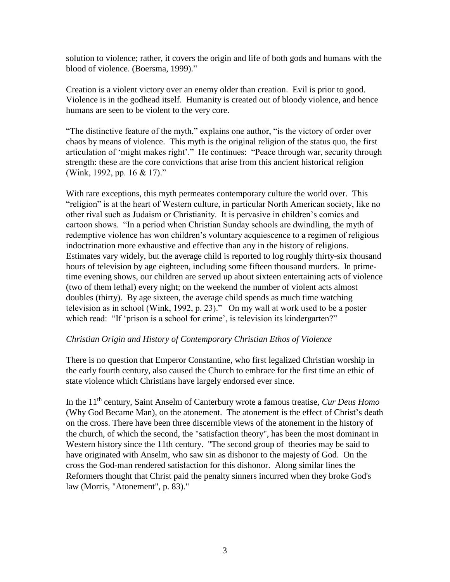solution to violence; rather, it covers the origin and life of both gods and humans with the blood of violence. (Boersma, 1999)."

Creation is a violent victory over an enemy older than creation. Evil is prior to good. Violence is in the godhead itself. Humanity is created out of bloody violence, and hence humans are seen to be violent to the very core.

"The distinctive feature of the myth," explains one author, "is the victory of order over chaos by means of violence. This myth is the original religion of the status quo, the first articulation of 'might makes right'." He continues: "Peace through war, security through strength: these are the core convictions that arise from this ancient historical religion (Wink, 1992, pp. 16 & 17)."

With rare exceptions, this myth permeates contemporary culture the world over. This "religion" is at the heart of Western culture, in particular North American society, like no other rival such as Judaism or Christianity. It is pervasive in children's comics and cartoon shows. "In a period when Christian Sunday schools are dwindling, the myth of redemptive violence has won children's voluntary acquiescence to a regimen of religious indoctrination more exhaustive and effective than any in the history of religions. Estimates vary widely, but the average child is reported to log roughly thirty-six thousand hours of television by age eighteen, including some fifteen thousand murders. In primetime evening shows, our children are served up about sixteen entertaining acts of violence (two of them lethal) every night; on the weekend the number of violent acts almost doubles (thirty). By age sixteen, the average child spends as much time watching television as in school (Wink, 1992, p. 23)." On my wall at work used to be a poster which read: "If 'prison is a school for crime', is television its kindergarten?"

#### *Christian Origin and History of Contemporary Christian Ethos of Violence*

There is no question that Emperor Constantine, who first legalized Christian worship in the early fourth century, also caused the Church to embrace for the first time an ethic of state violence which Christians have largely endorsed ever since.

In the 11th century, Saint Anselm of Canterbury wrote a famous treatise, *Cur Deus Homo* (Why God Became Man)*,* on the atonement. The atonement is the effect of Christ's death on the cross. There have been three discernible views of the atonement in the history of the church, of which the second, the "satisfaction theory", has been the most dominant in Western history since the 11th century. "The second group of theories may be said to have originated with Anselm, who saw sin as dishonor to the majesty of God. On the cross the God-man rendered satisfaction for this dishonor. Along similar lines the Reformers thought that Christ paid the penalty sinners incurred when they broke God's law (Morris, "Atonement", p. 83)."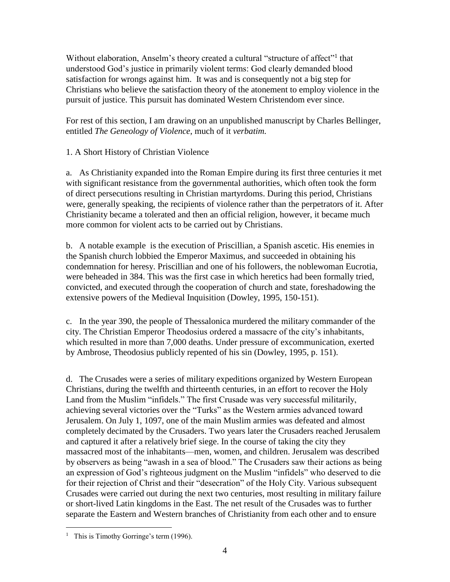Without elaboration, Anselm's theory created a cultural "structure of affect"<sup>1</sup> that understood God's justice in primarily violent terms: God clearly demanded blood satisfaction for wrongs against him. It was and is consequently not a big step for Christians who believe the satisfaction theory of the atonement to employ violence in the pursuit of justice. This pursuit has dominated Western Christendom ever since.

For rest of this section, I am drawing on an unpublished manuscript by Charles Bellinger, entitled *The Geneology of Violence*, much of it *verbatim.*

# 1. A Short History of Christian Violence

a. As Christianity expanded into the Roman Empire during its first three centuries it met with significant resistance from the governmental authorities, which often took the form of direct persecutions resulting in Christian martyrdoms. During this period, Christians were, generally speaking, the recipients of violence rather than the perpetrators of it. After Christianity became a tolerated and then an official religion, however, it became much more common for violent acts to be carried out by Christians.

b. A notable example is the execution of Priscillian, a Spanish ascetic. His enemies in the Spanish church lobbied the Emperor Maximus, and succeeded in obtaining his condemnation for heresy. Priscillian and one of his followers, the noblewoman Eucrotia, were beheaded in 384. This was the first case in which heretics had been formally tried, convicted, and executed through the cooperation of church and state, foreshadowing the extensive powers of the Medieval Inquisition (Dowley, 1995, 150-151).

c. In the year 390, the people of Thessalonica murdered the military commander of the city. The Christian Emperor Theodosius ordered a massacre of the city's inhabitants, which resulted in more than 7,000 deaths. Under pressure of excommunication, exerted by Ambrose, Theodosius publicly repented of his sin (Dowley, 1995, p. 151).

d. The Crusades were a series of military expeditions organized by Western European Christians, during the twelfth and thirteenth centuries, in an effort to recover the Holy Land from the Muslim "infidels." The first Crusade was very successful militarily, achieving several victories over the "Turks" as the Western armies advanced toward Jerusalem. On July 1, 1097, one of the main Muslim armies was defeated and almost completely decimated by the Crusaders. Two years later the Crusaders reached Jerusalem and captured it after a relatively brief siege. In the course of taking the city they massacred most of the inhabitants—men, women, and children. Jerusalem was described by observers as being "awash in a sea of blood." The Crusaders saw their actions as being an expression of God's righteous judgment on the Muslim "infidels" who deserved to die for their rejection of Christ and their "desecration" of the Holy City. Various subsequent Crusades were carried out during the next two centuries, most resulting in military failure or short-lived Latin kingdoms in the East. The net result of the Crusades was to further separate the Eastern and Western branches of Christianity from each other and to ensure

 $\overline{a}$ 

<sup>&</sup>lt;sup>1</sup> This is Timothy Gorringe's term (1996).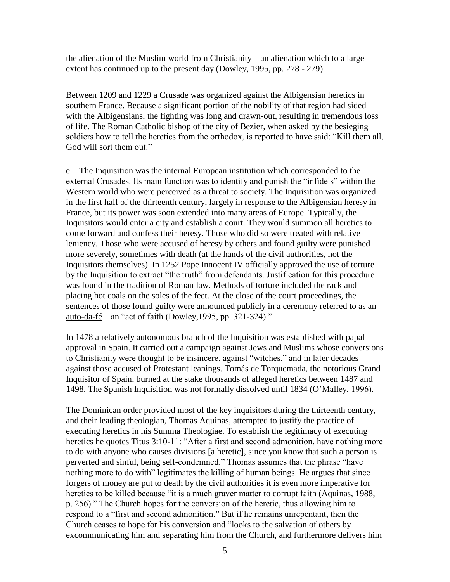the alienation of the Muslim world from Christianity—an alienation which to a large extent has continued up to the present day (Dowley, 1995, pp. 278 - 279).

Between 1209 and 1229 a Crusade was organized against the Albigensian heretics in southern France. Because a significant portion of the nobility of that region had sided with the Albigensians, the fighting was long and drawn-out, resulting in tremendous loss of life. The Roman Catholic bishop of the city of Bezier, when asked by the besieging soldiers how to tell the heretics from the orthodox, is reported to have said: "Kill them all, God will sort them out."

e. The Inquisition was the internal European institution which corresponded to the external Crusades. Its main function was to identify and punish the "infidels" within the Western world who were perceived as a threat to society. The Inquisition was organized in the first half of the thirteenth century, largely in response to the Albigensian heresy in France, but its power was soon extended into many areas of Europe. Typically, the Inquisitors would enter a city and establish a court. They would summon all heretics to come forward and confess their heresy. Those who did so were treated with relative leniency. Those who were accused of heresy by others and found guilty were punished more severely, sometimes with death (at the hands of the civil authorities, not the Inquisitors themselves). In 1252 Pope Innocent IV officially approved the use of torture by the Inquisition to extract "the truth" from defendants. Justification for this procedure was found in the tradition of Roman law. Methods of torture included the rack and placing hot coals on the soles of the feet. At the close of the court proceedings, the sentences of those found guilty were announced publicly in a ceremony referred to as an auto-da-fé—an "act of faith (Dowley,1995, pp. 321-324)."

In 1478 a relatively autonomous branch of the Inquisition was established with papal approval in Spain. It carried out a campaign against Jews and Muslims whose conversions to Christianity were thought to be insincere, against "witches," and in later decades against those accused of Protestant leanings. Tomás de Torquemada, the notorious Grand Inquisitor of Spain, burned at the stake thousands of alleged heretics between 1487 and 1498. The Spanish Inquisition was not formally dissolved until 1834 (O'Malley, 1996).

The Dominican order provided most of the key inquisitors during the thirteenth century, and their leading theologian, Thomas Aquinas, attempted to justify the practice of executing heretics in his Summa Theologiae. To establish the legitimacy of executing heretics he quotes Titus 3:10-11: "After a first and second admonition, have nothing more to do with anyone who causes divisions [a heretic], since you know that such a person is perverted and sinful, being self-condemned." Thomas assumes that the phrase "have nothing more to do with" legitimates the killing of human beings. He argues that since forgers of money are put to death by the civil authorities it is even more imperative for heretics to be killed because "it is a much graver matter to corrupt faith (Aquinas, 1988, p. 256)." The Church hopes for the conversion of the heretic, thus allowing him to respond to a "first and second admonition." But if he remains unrepentant, then the Church ceases to hope for his conversion and "looks to the salvation of others by excommunicating him and separating him from the Church, and furthermore delivers him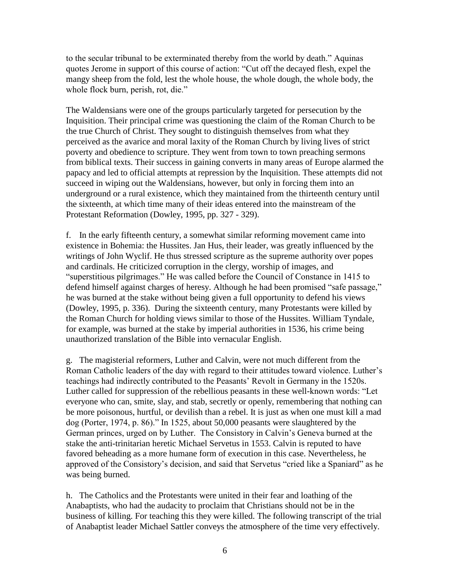to the secular tribunal to be exterminated thereby from the world by death." Aquinas quotes Jerome in support of this course of action: "Cut off the decayed flesh, expel the mangy sheep from the fold, lest the whole house, the whole dough, the whole body, the whole flock burn, perish, rot, die."

The Waldensians were one of the groups particularly targeted for persecution by the Inquisition. Their principal crime was questioning the claim of the Roman Church to be the true Church of Christ. They sought to distinguish themselves from what they perceived as the avarice and moral laxity of the Roman Church by living lives of strict poverty and obedience to scripture. They went from town to town preaching sermons from biblical texts. Their success in gaining converts in many areas of Europe alarmed the papacy and led to official attempts at repression by the Inquisition. These attempts did not succeed in wiping out the Waldensians, however, but only in forcing them into an underground or a rural existence, which they maintained from the thirteenth century until the sixteenth, at which time many of their ideas entered into the mainstream of the Protestant Reformation (Dowley, 1995, pp. 327 - 329).

f. In the early fifteenth century, a somewhat similar reforming movement came into existence in Bohemia: the Hussites. Jan Hus, their leader, was greatly influenced by the writings of John Wyclif. He thus stressed scripture as the supreme authority over popes and cardinals. He criticized corruption in the clergy, worship of images, and "superstitious pilgrimages." He was called before the Council of Constance in 1415 to defend himself against charges of heresy. Although he had been promised "safe passage," he was burned at the stake without being given a full opportunity to defend his views (Dowley, 1995, p. 336). During the sixteenth century, many Protestants were killed by the Roman Church for holding views similar to those of the Hussites. William Tyndale, for example, was burned at the stake by imperial authorities in 1536, his crime being unauthorized translation of the Bible into vernacular English.

g. The magisterial reformers, Luther and Calvin, were not much different from the Roman Catholic leaders of the day with regard to their attitudes toward violence. Luther's teachings had indirectly contributed to the Peasants' Revolt in Germany in the 1520s. Luther called for suppression of the rebellious peasants in these well-known words: "Let everyone who can, smite, slay, and stab, secretly or openly, remembering that nothing can be more poisonous, hurtful, or devilish than a rebel. It is just as when one must kill a mad dog (Porter, 1974, p. 86)." In 1525, about 50,000 peasants were slaughtered by the German princes, urged on by Luther. The Consistory in Calvin's Geneva burned at the stake the anti-trinitarian heretic Michael Servetus in 1553. Calvin is reputed to have favored beheading as a more humane form of execution in this case. Nevertheless, he approved of the Consistory's decision, and said that Servetus "cried like a Spaniard" as he was being burned.

h. The Catholics and the Protestants were united in their fear and loathing of the Anabaptists, who had the audacity to proclaim that Christians should not be in the business of killing. For teaching this they were killed. The following transcript of the trial of Anabaptist leader Michael Sattler conveys the atmosphere of the time very effectively.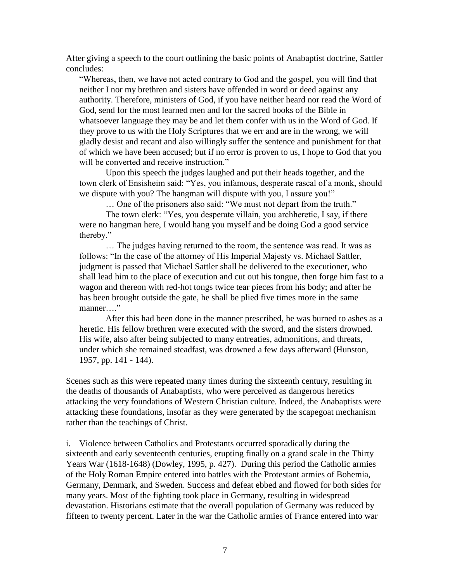After giving a speech to the court outlining the basic points of Anabaptist doctrine, Sattler concludes:

"Whereas, then, we have not acted contrary to God and the gospel, you will find that neither I nor my brethren and sisters have offended in word or deed against any authority. Therefore, ministers of God, if you have neither heard nor read the Word of God, send for the most learned men and for the sacred books of the Bible in whatsoever language they may be and let them confer with us in the Word of God. If they prove to us with the Holy Scriptures that we err and are in the wrong, we will gladly desist and recant and also willingly suffer the sentence and punishment for that of which we have been accused; but if no error is proven to us, I hope to God that you will be converted and receive instruction."

Upon this speech the judges laughed and put their heads together, and the town clerk of Ensisheim said: "Yes, you infamous, desperate rascal of a monk, should we dispute with you? The hangman will dispute with you, I assure you!"

… One of the prisoners also said: "We must not depart from the truth."

The town clerk: "Yes, you desperate villain, you archheretic, I say, if there were no hangman here, I would hang you myself and be doing God a good service thereby."

… The judges having returned to the room, the sentence was read. It was as follows: "In the case of the attorney of His Imperial Majesty vs. Michael Sattler, judgment is passed that Michael Sattler shall be delivered to the executioner, who shall lead him to the place of execution and cut out his tongue, then forge him fast to a wagon and thereon with red-hot tongs twice tear pieces from his body; and after he has been brought outside the gate, he shall be plied five times more in the same manner…."

After this had been done in the manner prescribed, he was burned to ashes as a heretic. His fellow brethren were executed with the sword, and the sisters drowned. His wife, also after being subjected to many entreaties, admonitions, and threats, under which she remained steadfast, was drowned a few days afterward (Hunston, 1957, pp. 141 - 144).

Scenes such as this were repeated many times during the sixteenth century, resulting in the deaths of thousands of Anabaptists, who were perceived as dangerous heretics attacking the very foundations of Western Christian culture. Indeed, the Anabaptists were attacking these foundations, insofar as they were generated by the scapegoat mechanism rather than the teachings of Christ.

i. Violence between Catholics and Protestants occurred sporadically during the sixteenth and early seventeenth centuries, erupting finally on a grand scale in the Thirty Years War (1618-1648) (Dowley, 1995, p. 427). During this period the Catholic armies of the Holy Roman Empire entered into battles with the Protestant armies of Bohemia, Germany, Denmark, and Sweden. Success and defeat ebbed and flowed for both sides for many years. Most of the fighting took place in Germany, resulting in widespread devastation. Historians estimate that the overall population of Germany was reduced by fifteen to twenty percent. Later in the war the Catholic armies of France entered into war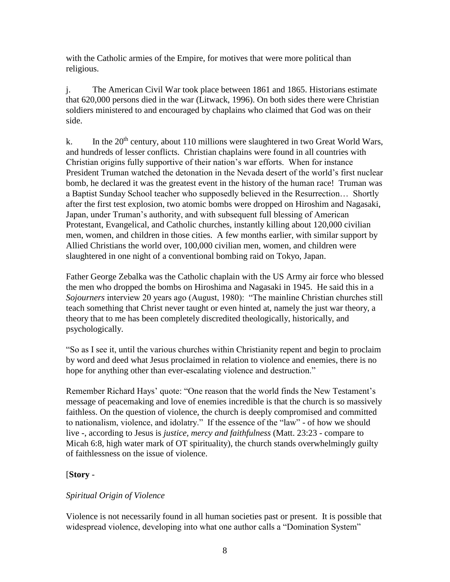with the Catholic armies of the Empire, for motives that were more political than religious.

j. The American Civil War took place between 1861 and 1865. Historians estimate that 620,000 persons died in the war (Litwack, 1996). On both sides there were Christian soldiers ministered to and encouraged by chaplains who claimed that God was on their side.

k. In the  $20<sup>th</sup>$  century, about 110 millions were slaughtered in two Great World Wars, and hundreds of lesser conflicts. Christian chaplains were found in all countries with Christian origins fully supportive of their nation's war efforts. When for instance President Truman watched the detonation in the Nevada desert of the world's first nuclear bomb, he declared it was the greatest event in the history of the human race! Truman was a Baptist Sunday School teacher who supposedly believed in the Resurrection… Shortly after the first test explosion, two atomic bombs were dropped on Hiroshim and Nagasaki, Japan, under Truman's authority, and with subsequent full blessing of American Protestant, Evangelical, and Catholic churches, instantly killing about 120,000 civilian men, women, and children in those cities. A few months earlier, with similar support by Allied Christians the world over, 100,000 civilian men, women, and children were slaughtered in one night of a conventional bombing raid on Tokyo, Japan.

Father George Zebalka was the Catholic chaplain with the US Army air force who blessed the men who dropped the bombs on Hiroshima and Nagasaki in 1945. He said this in a *Sojourners* interview 20 years ago (August, 1980): "The mainline Christian churches still teach something that Christ never taught or even hinted at, namely the just war theory, a theory that to me has been completely discredited theologically, historically, and psychologically.

"So as I see it, until the various churches within Christianity repent and begin to proclaim by word and deed what Jesus proclaimed in relation to violence and enemies, there is no hope for anything other than ever-escalating violence and destruction."

Remember Richard Hays' quote: "One reason that the world finds the New Testament's message of peacemaking and love of enemies incredible is that the church is so massively faithless. On the question of violence, the church is deeply compromised and committed to nationalism, violence, and idolatry." If the essence of the "law" - of how we should live -, according to Jesus is *justice, mercy and faithfulness* (Matt. 23:23 - compare to Micah 6:8, high water mark of OT spirituality), the church stands overwhelmingly guilty of faithlessness on the issue of violence.

# [**Story** -

# *Spiritual Origin of Violence*

Violence is not necessarily found in all human societies past or present. It is possible that widespread violence, developing into what one author calls a "Domination System"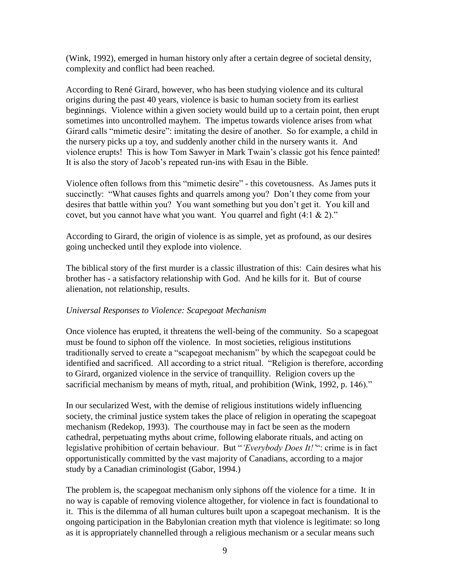(Wink, 1992), emerged in human history only after a certain degree of societal density, complexity and conflict had been reached.

According to René Girard, however, who has been studying violence and its cultural origins during the past 40 years, violence is basic to human society from its earliest beginnings. Violence within a given society would build up to a certain point, then erupt sometimes into uncontrolled mayhem. The impetus towards violence arises from what Girard calls "mimetic desire": imitating the desire of another. So for example, a child in the nursery picks up a toy, and suddenly another child in the nursery wants it. And violence erupts! This is how Tom Sawyer in Mark Twain's classic got his fence painted! It is also the story of Jacob's repeated run-ins with Esau in the Bible.

Violence often follows from this "mimetic desire" - this covetousness. As James puts it succinctly: "What causes fights and quarrels among you? Don't they come from your desires that battle within you? You want something but you don't get it. You kill and covet, but you cannot have what you want. You quarrel and fight (4:1 & 2)."

According to Girard, the origin of violence is as simple, yet as profound, as our desires going unchecked until they explode into violence.

The biblical story of the first murder is a classic illustration of this: Cain desires what his brother has - a satisfactory relationship with God. And he kills for it. But of course alienation, not relationship, results.

## *Universal Responses to Violence: Scapegoat Mechanism*

Once violence has erupted, it threatens the well-being of the community. So a scapegoat must be found to siphon off the violence. In most societies, religious institutions traditionally served to create a "scapegoat mechanism" by which the scapegoat could be identified and sacrificed. All according to a strict ritual. "Religion is therefore, according to Girard, organized violence in the service of tranquillity. Religion covers up the sacrificial mechanism by means of myth, ritual, and prohibition (Wink, 1992, p. 146)."

In our secularized West, with the demise of religious institutions widely influencing society, the criminal justice system takes the place of religion in operating the scapegoat mechanism (Redekop, 1993). The courthouse may in fact be seen as the modern cathedral, perpetuating myths about crime, following elaborate rituals, and acting on legislative prohibition of certain behaviour. But "*'Everybody Does It!'*": crime is in fact opportunistically committed by the vast majority of Canadians, according to a major study by a Canadian criminologist (Gabor, 1994.)

The problem is, the scapegoat mechanism only siphons off the violence for a time. It in no way is capable of removing violence altogether, for violence in fact is foundational to it. This is the dilemma of all human cultures built upon a scapegoat mechanism. It is the ongoing participation in the Babylonian creation myth that violence is legitimate: so long as it is appropriately channelled through a religious mechanism or a secular means such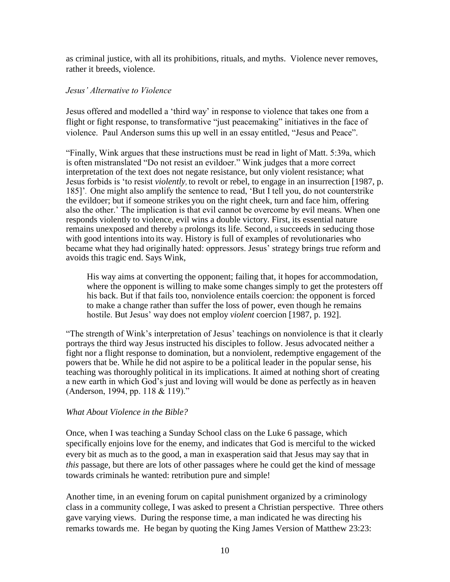as criminal justice, with all its prohibitions, rituals, and myths. Violence never removes, rather it breeds, violence.

#### *Jesus' Alternative to Violence*

Jesus offered and modelled a 'third way' in response to violence that takes one from a flight or fight response, to transformative "just peacemaking" initiatives in the face of violence. Paul Anderson sums this up well in an essay entitled, "Jesus and Peace".

"Finally, Wink argues that these instructions must be read in light of Matt. 5:39a, which is often mistranslated "Do not resist an evildoer." Wink judges that a more correct interpretation of the text does not negate resistance, but only violent resistance; what Jesus forbids is 'to resist *violently,* to revolt or rebel, to engage in an insurrection [1987, p. 185]'*.* One might also amplify the sentence to read, 'But I tell you, do not counterstrike the evildoer; but if someone strikes you on the right cheek, turn and face him, offering also the other.' The implication is that evil cannot be overcome by evil means. When one responds violently to violence, evil wins a double victory. First, its essential nature remains unexposed and thereby it prolongs its life. Second, it succeeds in seducing those with good intentions into its way. History is full of examples of revolutionaries who became what they had originally hated: oppressors. Jesus' strategy brings true reform and avoids this tragic end. Says Wink,

His way aims at converting the opponent; failing that, it hopes for accommodation, where the opponent is willing to make some changes simply to get the protesters off his back. But if that fails too, nonviolence entails coercion: the opponent is forced to make a change rather than suffer the loss of power, even though he remains hostile. But Jesus' way does not employ *violent* coercion [1987, p. 192].

"The strength of Wink's interpretation of Jesus' teachings on nonviolence is that it clearly portrays the third way Jesus instructed his disciples to follow. Jesus advocated neither a fight nor a flight response to domination, but a nonviolent, redemptive engagement of the powers that be. While he did not aspire to be a political leader in the popular sense, his teaching was thoroughly political in its implications. It aimed at nothing short of creating a new earth in which God's just and loving will would be done as perfectly as in heaven (Anderson, 1994, pp. 118 & 119)."

#### *What About Violence in the Bible?*

Once, when I was teaching a Sunday School class on the Luke 6 passage, which specifically enjoins love for the enemy, and indicates that God is merciful to the wicked every bit as much as to the good, a man in exasperation said that Jesus may say that in *this* passage, but there are lots of other passages where he could get the kind of message towards criminals he wanted: retribution pure and simple!

Another time, in an evening forum on capital punishment organized by a criminology class in a community college, I was asked to present a Christian perspective. Three others gave varying views. During the response time, a man indicated he was directing his remarks towards me. He began by quoting the King James Version of Matthew 23:23: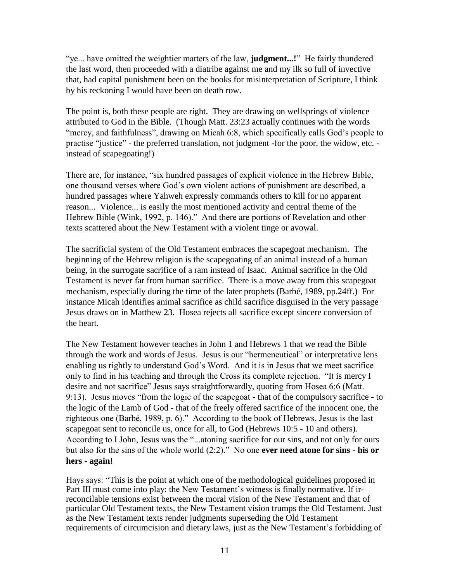"ye... have omitted the weightier matters of the law, **judgment...!**" He fairly thundered the last word, then proceeded with a diatribe against me and my ilk so full of invective that, had capital punishment been on the books for misinterpretation of Scripture, I think by his reckoning I would have been on death row.

The point is, both these people are right. They are drawing on wellsprings of violence attributed to God in the Bible. (Though Matt. 23:23 actually continues with the words "mercy, and faithfulness", drawing on Micah 6:8, which specifically calls God's people to practise "justice" - the preferred translation, not judgment -for the poor, the widow, etc. instead of scapegoating!)

There are, for instance, "six hundred passages of explicit violence in the Hebrew Bible, one thousand verses where God's own violent actions of punishment are described, a hundred passages where Yahweh expressly commands others to kill for no apparent reason... Violence... is easily the most mentioned activity and central theme of the Hebrew Bible (Wink, 1992, p. 146)." And there are portions of Revelation and other texts scattered about the New Testament with a violent tinge or avowal.

The sacrificial system of the Old Testament embraces the scapegoat mechanism. The beginning of the Hebrew religion is the scapegoating of an animal instead of a human being, in the surrogate sacrifice of a ram instead of Isaac. Animal sacrifice in the Old Testament is never far from human sacrifice. There is a move away from this scapegoat mechanism, especially during the time of the later prophets (Barbé, 1989, pp.24ff.) For instance Micah identifies animal sacrifice as child sacrifice disguised in the very passage Jesus draws on in Matthew 23. Hosea rejects all sacrifice except sincere conversion of the heart.

The New Testament however teaches in John 1 and Hebrews 1 that we read the Bible through the work and words of Jesus. Jesus is our "hermeneutical" or interpretative lens enabling us rightly to understand God's Word. And it is in Jesus that we meet sacrifice only to find in his teaching and through the Cross its complete rejection. "It is mercy I desire and not sacrifice" Jesus says straightforwardly, quoting from Hosea 6:6 (Matt. 9:13). Jesus moves "from the logic of the scapegoat - that of the compulsory sacrifice - to the logic of the Lamb of God - that of the freely offered sacrifice of the innocent one, the righteous one (Barbé, 1989, p. 6)." According to the book of Hebrews, Jesus is the last scapegoat sent to reconcile us, once for all, to God (Hebrews 10:5 - 10 and others). According to I John, Jesus was the "...atoning sacrifice for our sins, and not only for ours but also for the sins of the whole world (2:2)." No one **ever need atone for sins - his or hers - again!**

Hays says: "This is the point at which one of the methodological guidelines proposed in Part III must come into play: the New Testament's witness is finally normative. If irreconcilable tensions exist between the moral vision of the New Testament and that of particular Old Testament texts, the New Testament vision trumps the Old Testament. Just as the New Testament texts render judgments superseding the Old Testament requirements of circumcision and dietary laws, just as the New Testament's forbidding of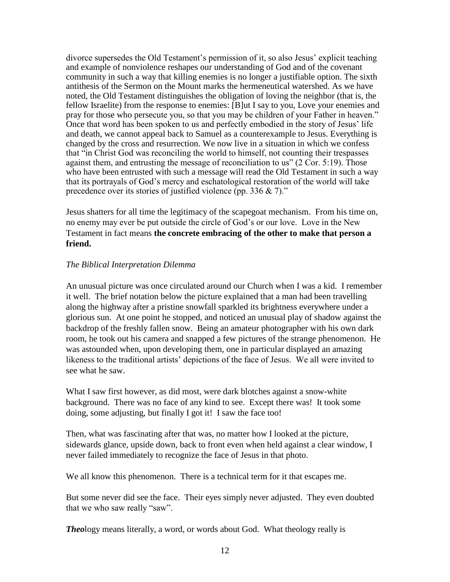divorce supersedes the Old Testament's permission of it, so also Jesus' explicit teaching and example of nonviolence reshapes our understanding of God and of the covenant community in such a way that killing enemies is no longer a justifiable option. The sixth antithesis of the Sermon on the Mount marks the hermeneutical watershed. As we have noted, the Old Testament distinguishes the obligation of loving the neighbor (that is, the fellow Israelite) from the response to enemies: [B]ut I say to you, Love your enemies and pray for those who persecute you, so that you may be children of your Father in heaven." Once that word has been spoken to us and perfectly embodied in the story of Jesus' life and death, we cannot appeal back to Samuel as a counterexample to Jesus. Everything is changed by the cross and resurrection. We now live in a situation in which we confess that "in Christ God was reconciling the world to himself, not counting their trespasses against them, and entrusting the message of reconciliation to us" (2 Cor. 5:19). Those who have been entrusted with such a message will read the Old Testament in such a way that its portrayals of God's mercy and eschatological restoration of the world will take precedence over its stories of justified violence (pp. 336 & 7)."

Jesus shatters for all time the legitimacy of the scapegoat mechanism. From his time on, no enemy may ever be put outside the circle of God's or our love. Love in the New Testament in fact means **the concrete embracing of the other to make that person a friend.**

## *The Biblical Interpretation Dilemma*

An unusual picture was once circulated around our Church when I was a kid. I remember it well. The brief notation below the picture explained that a man had been travelling along the highway after a pristine snowfall sparkled its brightness everywhere under a glorious sun. At one point he stopped, and noticed an unusual play of shadow against the backdrop of the freshly fallen snow. Being an amateur photographer with his own dark room, he took out his camera and snapped a few pictures of the strange phenomenon. He was astounded when, upon developing them, one in particular displayed an amazing likeness to the traditional artists' depictions of the face of Jesus. We all were invited to see what he saw.

What I saw first however, as did most, were dark blotches against a snow-white background. There was no face of any kind to see. Except there was! It took some doing, some adjusting, but finally I got it! I saw the face too!

Then, what was fascinating after that was, no matter how I looked at the picture, sidewards glance, upside down, back to front even when held against a clear window, I never failed immediately to recognize the face of Jesus in that photo.

We all know this phenomenon. There is a technical term for it that escapes me.

But some never did see the face. Their eyes simply never adjusted. They even doubted that we who saw really "saw".

*Theo*logy means literally, a word, or words about God. What theology really is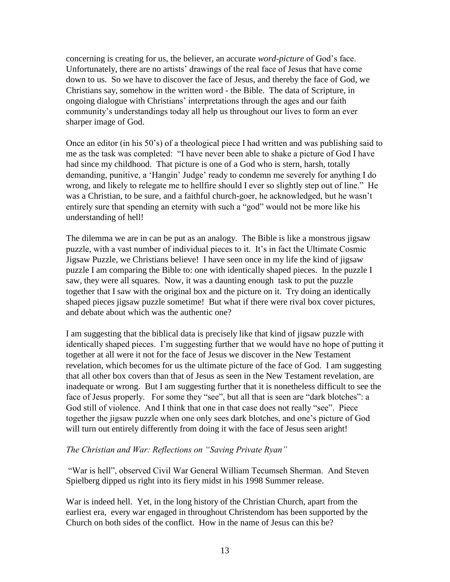concerning is creating for us, the believer, an accurate *word-picture* of God's face. Unfortunately, there are no artists' drawings of the real face of Jesus that have come down to us. So we have to discover the face of Jesus, and thereby the face of God, we Christians say, somehow in the written word - the Bible. The data of Scripture, in ongoing dialogue with Christians' interpretations through the ages and our faith community's understandings today all help us throughout our lives to form an ever sharper image of God.

Once an editor (in his 50's) of a theological piece I had written and was publishing said to me as the task was completed: "I have never been able to shake a picture of God I have had since my childhood. That picture is one of a God who is stern, harsh, totally demanding, punitive, a 'Hangin' Judge' ready to condemn me severely for anything I do wrong, and likely to relegate me to hellfire should I ever so slightly step out of line." He was a Christian, to be sure, and a faithful church-goer, he acknowledged, but he wasn't entirely sure that spending an eternity with such a "god" would not be more like his understanding of hell!

The dilemma we are in can be put as an analogy. The Bible is like a monstrous jigsaw puzzle, with a vast number of individual pieces to it. It's in fact the Ultimate Cosmic Jigsaw Puzzle, we Christians believe! I have seen once in my life the kind of jigsaw puzzle I am comparing the Bible to: one with identically shaped pieces. In the puzzle I saw, they were all squares. Now, it was a daunting enough task to put the puzzle together that I saw with the original box and the picture on it. Try doing an identically shaped pieces jigsaw puzzle sometime! But what if there were rival box cover pictures, and debate about which was the authentic one?

I am suggesting that the biblical data is precisely like that kind of jigsaw puzzle with identically shaped pieces. I'm suggesting further that we would have no hope of putting it together at all were it not for the face of Jesus we discover in the New Testament revelation, which becomes for us the ultimate picture of the face of God. I am suggesting that all other box covers than that of Jesus as seen in the New Testament revelation, are inadequate or wrong. But I am suggesting further that it is nonetheless difficult to see the face of Jesus properly. For some they "see", but all that is seen are "dark blotches": a God still of violence. And I think that one in that case does not really "see". Piece together the jigsaw puzzle when one only sees dark blotches, and one's picture of God will turn out entirely differently from doing it with the face of Jesus seen aright!

## *The Christian and War: Reflections on "Saving Private Ryan"*

"War is hell", observed Civil War General William Tecumseh Sherman. And Steven Spielberg dipped us right into its fiery midst in his 1998 Summer release.

War is indeed hell. Yet, in the long history of the Christian Church, apart from the earliest era, every war engaged in throughout Christendom has been supported by the Church on both sides of the conflict. How in the name of Jesus can this be?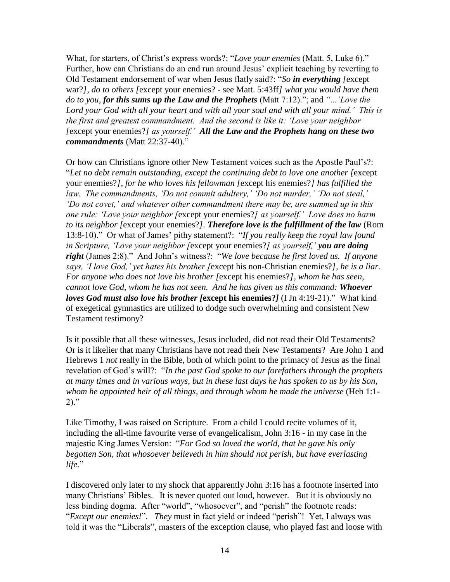What, for starters, of Christ's express words?: "*Love your enemies* (Matt. 5, Luke 6)." Further, how can Christians do an end run around Jesus' explicit teaching by reverting to Old Testament endorsement of war when Jesus flatly said?: "*So in everything [*except war?*], do to others [*except your enemies? - see Matt. 5:43ff*] what you would have them do to you, for this sums up the Law and the Prophets* (Matt 7:12)."; and *"...'Love the Lord your God with all your heart and with all your soul and with all your mind.' This is the first and greatest commandment. And the second is like it: 'Love your neighbor [*except your enemies?*] as yourself.' All the Law and the Prophets hang on these two commandments* (Matt 22:37-40)."

Or how can Christians ignore other New Testament voices such as the Apostle Paul's?: "*Let no debt remain outstanding, except the continuing debt to love one another [*except your enemies?*], for he who loves his fellowman [*except his enemies?*] has fulfilled the law. The commandments, 'Do not commit adultery,' 'Do not murder,' 'Do not steal,' 'Do not covet,' and whatever other commandment there may be, are summed up in this one rule: 'Love your neighbor [*except your enemies?*] as yourself.' Love does no harm to its neighbor [*except your enemies?*]. Therefore love is the fulfillment of the law* (Rom 13:8-10)." Or what of James' pithy statement?: "*If you really keep the royal law found in Scripture, 'Love your neighbor [*except your enemies?*] as yourself,' you are doing right* (James 2:8)." And John's witness?: "*We love because he first loved us. If anyone says, 'I love God,' yet hates his brother [*except his non-Christian enemies?*], he is a liar. For anyone who does not love his brother [*except his enemies?*], whom he has seen, cannot love God, whom he has not seen. And he has given us this command: Whoever loves God must also love his brother [***except his enemies?***]* (I Jn 4:19-21)." What kind of exegetical gymnastics are utilized to dodge such overwhelming and consistent New Testament testimony?

Is it possible that all these witnesses, Jesus included, did not read their Old Testaments? Or is it likelier that many Christians have not read their New Testaments? Are John 1 and Hebrews 1 *not* really in the Bible, both of which point to the primacy of Jesus as the final revelation of God's will?: "*In the past God spoke to our forefathers through the prophets at many times and in various ways, but in these last days he has spoken to us by his Son, whom he appointed heir of all things, and through whom he made the universe* (Heb 1:1-  $2)$ ."

Like Timothy, I was raised on Scripture. From a child I could recite volumes of it, including the all-time favourite verse of evangelicalism, John 3:16 - in my case in the majestic King James Version: "*For God so loved the world, that he gave his only begotten Son, that whosoever believeth in him should not perish, but have everlasting life.*"

I discovered only later to my shock that apparently John 3:16 has a footnote inserted into many Christians' Bibles. It is never quoted out loud, however. But it is obviously no less binding dogma. After "world", "whosoever", and "perish" the footnote reads: "*Except our enemies!*". *They* must in fact yield or indeed "perish"! Yet, I always was told it was the "Liberals", masters of the exception clause, who played fast and loose with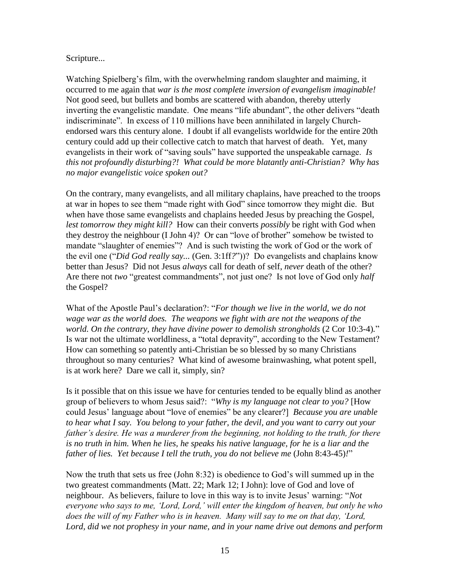#### Scripture...

Watching Spielberg's film, with the overwhelming random slaughter and maiming, it occurred to me again that *war is the most complete inversion of evangelism imaginable!* Not good seed, but bullets and bombs are scattered with abandon, thereby utterly inverting the evangelistic mandate. One means "life abundant", the other delivers "death indiscriminate". In excess of 110 millions have been annihilated in largely Churchendorsed wars this century alone. I doubt if all evangelists worldwide for the entire 20th century could add up their collective catch to match that harvest of death. Yet, many evangelists in their work of "saving souls" have supported the unspeakable carnage. *Is this not profoundly disturbing?! What could be more blatantly anti-Christian? Why has no major evangelistic voice spoken out?* 

On the contrary, many evangelists, and all military chaplains, have preached to the troops at war in hopes to see them "made right with God" since tomorrow they might die. But when have those same evangelists and chaplains heeded Jesus by preaching the Gospel, *lest tomorrow they might kill?* How can their converts *possibly* be right with God when they destroy the neighbour (I John 4)? Or can "love of brother" somehow be twisted to mandate "slaughter of enemies"? And is such twisting the work of God or the work of the evil one ("*Did God really say...* (Gen. 3:1ff*?*"))? Do evangelists and chaplains know better than Jesus? Did not Jesus *always* call for death of self, *never* death of the other? Are there not *two* "greatest commandments", not just one? Is not love of God only *half* the Gospel?

What of the Apostle Paul's declaration?: "*For though we live in the world, we do not wage war as the world does. The weapons we fight with are not the weapons of the world. On the contrary, they have divine power to demolish strongholds* (2 Cor 10:3-4)." Is war not the ultimate worldliness, a "total depravity", according to the New Testament? How can something so patently anti-Christian be so blessed by so many Christians throughout so many centuries? What kind of awesome brainwashing, what potent spell, is at work here? Dare we call it, simply, sin?

Is it possible that on this issue we have for centuries tended to be equally blind as another group of believers to whom Jesus said?: "*Why is my language not clear to you?* [How could Jesus' language about "love of enemies" be any clearer?] *Because you are unable to hear what I say. You belong to your father, the devil, and you want to carry out your father's desire. He was a murderer from the beginning, not holding to the truth, for there is no truth in him. When he lies, he speaks his native language, for he is a liar and the father of lies. Yet because I tell the truth, you do not believe me (John 8:43-45)!*"

Now the truth that sets us free (John 8:32) is obedience to God's will summed up in the two greatest commandments (Matt. 22; Mark 12; I John): love of God and love of neighbour. As believers, failure to love in this way is to invite Jesus' warning: "*Not everyone who says to me, 'Lord, Lord,' will enter the kingdom of heaven, but only he who does the will of my Father who is in heaven. Many will say to me on that day, 'Lord, Lord, did we not prophesy in your name, and in your name drive out demons and perform*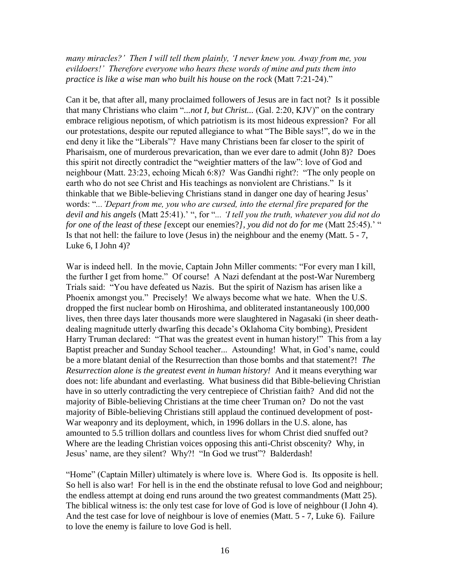*many miracles?' Then I will tell them plainly, 'I never knew you. Away from me, you evildoers!' Therefore everyone who hears these words of mine and puts them into practice is like a wise man who built his house on the rock* (Matt 7:21-24)."

Can it be, that after all, many proclaimed followers of Jesus are in fact not? Is it possible that many Christians who claim "*...not I, but Christ...* (Gal. 2:20, KJV)" on the contrary embrace religious nepotism, of which patriotism is its most hideous expression? For all our protestations, despite our reputed allegiance to what "The Bible says!", do we in the end deny it like the "Liberals"? Have many Christians been far closer to the spirit of Pharisaism, one of murderous prevarication, than we ever dare to admit (John 8)? Does this spirit not directly contradict the "weightier matters of the law": love of God and neighbour (Matt. 23:23, echoing Micah 6:8)? Was Gandhi right?: "The only people on earth who do not see Christ and His teachings as nonviolent are Christians." Is it thinkable that we Bible-believing Christians stand in danger one day of hearing Jesus' words: "*...'Depart from me, you who are cursed, into the eternal fire prepared for the devil and his angels* (Matt 25:41).' ", for "*... 'I tell you the truth, whatever you did not do for one of the least of these [*except our enemies?*], you did not do for me* (Matt 25:45).' " Is that not hell: the failure to love (Jesus in) the neighbour and the enemy (Matt. 5 - 7, Luke  $6$ , I John  $4$ ?

War is indeed hell. In the movie, Captain John Miller comments: "For every man I kill, the further I get from home." Of course! A Nazi defendant at the post-War Nuremberg Trials said: "You have defeated us Nazis. But the spirit of Nazism has arisen like a Phoenix amongst you." Precisely! We always become what we hate. When the U.S. dropped the first nuclear bomb on Hiroshima, and obliterated instantaneously 100,000 lives, then three days later thousands more were slaughtered in Nagasaki (in sheer deathdealing magnitude utterly dwarfing this decade's Oklahoma City bombing), President Harry Truman declared: "That was the greatest event in human history!" This from a lay Baptist preacher and Sunday School teacher... Astounding! What, in God's name, could be a more blatant denial of the Resurrection than those bombs and that statement?! *The Resurrection alone is the greatest event in human history!* And it means everything war does not: life abundant and everlasting. What business did that Bible-believing Christian have in so utterly contradicting the very centrepiece of Christian faith? And did not the majority of Bible-believing Christians at the time cheer Truman on? Do not the vast majority of Bible-believing Christians still applaud the continued development of post-War weaponry and its deployment, which, in 1996 dollars in the U.S. alone, has amounted to 5.5 trillion dollars and countless lives for whom Christ died snuffed out? Where are the leading Christian voices opposing this anti-Christ obscenity? Why, in Jesus' name, are they silent? Why?! "In God we trust"? Balderdash!

"Home" (Captain Miller) ultimately is where love is. Where God is. Its opposite is hell. So hell is also war! For hell is in the end the obstinate refusal to love God and neighbour; the endless attempt at doing end runs around the two greatest commandments (Matt 25). The biblical witness is: the only test case for love of God is love of neighbour (I John 4). And the test case for love of neighbour is love of enemies (Matt. 5 - 7, Luke 6). Failure to love the enemy is failure to love God is hell.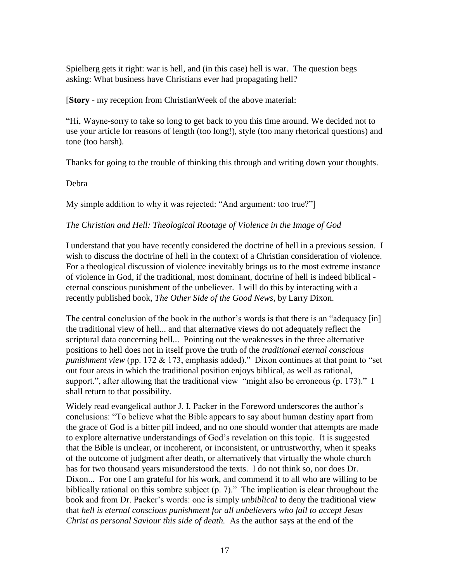Spielberg gets it right: war is hell, and (in this case) hell is war. The question begs asking: What business have Christians ever had propagating hell?

[**Story** - my reception from ChristianWeek of the above material:

"Hi, Wayne-sorry to take so long to get back to you this time around. We decided not to use your article for reasons of length (too long!), style (too many rhetorical questions) and tone (too harsh).

Thanks for going to the trouble of thinking this through and writing down your thoughts.

Debra

My simple addition to why it was rejected: "And argument: too true?"

## *The Christian and Hell: Theological Rootage of Violence in the Image of God*

I understand that you have recently considered the doctrine of hell in a previous session. I wish to discuss the doctrine of hell in the context of a Christian consideration of violence. For a theological discussion of violence inevitably brings us to the most extreme instance of violence in God, if the traditional, most dominant, doctrine of hell is indeed biblical eternal conscious punishment of the unbeliever. I will do this by interacting with a recently published book, *The Other Side of the Good News*, by Larry Dixon.

The central conclusion of the book in the author's words is that there is an "adequacy [in] the traditional view of hell... and that alternative views do not adequately reflect the scriptural data concerning hell... Pointing out the weaknesses in the three alternative positions to hell does not in itself prove the truth of the *traditional eternal conscious punishment view* (pp. 172 & 173, emphasis added)." Dixon continues at that point to "set out four areas in which the traditional position enjoys biblical, as well as rational, support.", after allowing that the traditional view "might also be erroneous (p. 173)." I shall return to that possibility.

Widely read evangelical author J. I. Packer in the Foreword underscores the author's conclusions: "To believe what the Bible appears to say about human destiny apart from the grace of God is a bitter pill indeed, and no one should wonder that attempts are made to explore alternative understandings of God's revelation on this topic. It is suggested that the Bible is unclear, or incoherent, or inconsistent, or untrustworthy, when it speaks of the outcome of judgment after death, or alternatively that virtually the whole church has for two thousand years misunderstood the texts. I do not think so, nor does Dr. Dixon... For one I am grateful for his work, and commend it to all who are willing to be biblically rational on this sombre subject (p. 7)." The implication is clear throughout the book and from Dr. Packer's words: one is simply *unbiblical* to deny the traditional view that *hell is eternal conscious punishment for all unbelievers who fail to accept Jesus Christ as personal Saviour this side of death.* As the author says at the end of the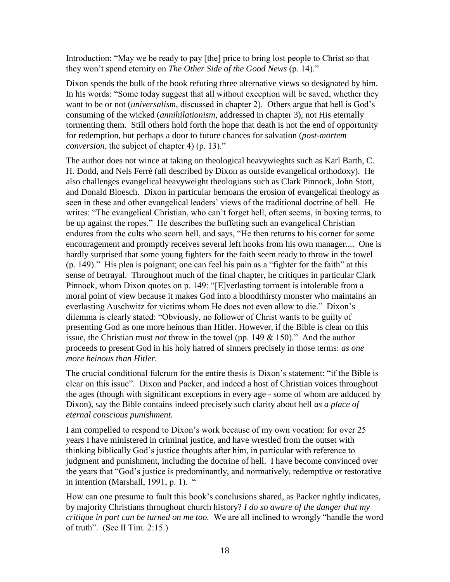Introduction: "May we be ready to pay [the] price to bring lost people to Christ so that they won't spend eternity on *The Other Side of the Good News* (p. 14)."

Dixon spends the bulk of the book refuting three alternative views so designated by him. In his words: "Some today suggest that all without exception will be saved, whether they want to be or not (*universalism,* discussed in chapter 2). Others argue that hell is God's consuming of the wicked (*annihilationism*, addressed in chapter 3), not His eternally tormenting them. Still others hold forth the hope that death is not the end of opportunity for redemption, but perhaps a door to future chances for salvation (*post-mortem conversion*, the subject of chapter 4) (p. 13)."

The author does not wince at taking on theological heavywieghts such as Karl Barth, C. H. Dodd, and Nels Ferré (all described by Dixon as outside evangelical orthodoxy). He also challenges evangelical heavyweight theologians such as Clark Pinnock, John Stott, and Donald Bloesch. Dixon in particular bemoans the erosion of evangelical theology as seen in these and other evangelical leaders' views of the traditional doctrine of hell. He writes: "The evangelical Christian, who can't forget hell, often seems, in boxing terms, to be up against the ropes." He describes the buffeting such an evangelical Christian endures from the cults who scorn hell, and says, "He then returns to his corner for some encouragement and promptly receives several left hooks from his own manager.... One is hardly surprised that some young fighters for the faith seem ready to throw in the towel (p. 149)." His plea is poignant; one can feel his pain as a "fighter for the faith" at this sense of betrayal. Throughout much of the final chapter, he critiques in particular Clark Pinnock, whom Dixon quotes on p. 149: "[E]verlasting torment is intolerable from a moral point of view because it makes God into a bloodthirsty monster who maintains an everlasting Auschwitz for victims whom He does not even allow to die." Dixon's dilemma is clearly stated: "Obviously, no follower of Christ wants to be guilty of presenting God as one more heinous than Hitler. However, if the Bible is clear on this issue, the Christian must *not* throw in the towel (pp. 149 & 150)." And the author proceeds to present God in his holy hatred of sinners precisely in those terms: *as one more heinous than Hitler.*

The crucial conditional fulcrum for the entire thesis is Dixon's statement: "if the Bible is clear on this issue". Dixon and Packer, and indeed a host of Christian voices throughout the ages (though with significant exceptions in every age - some of whom are adduced by Dixon), say the Bible contains indeed precisely such clarity about hell *as a place of eternal conscious punishment.*

I am compelled to respond to Dixon's work because of my own vocation: for over 25 years I have ministered in criminal justice, and have wrestled from the outset with thinking biblically God's justice thoughts after him, in particular with reference to judgment and punishment, including the doctrine of hell. I have become convinced over the years that "God's justice is predominantly, and normatively, redemptive or restorative in intention (Marshall, 1991, p. 1).

How can one presume to fault this book's conclusions shared, as Packer rightly indicates, by majority Christians throughout church history? *I do so aware of the danger that my critique in part can be turned on me too.* We are all inclined to wrongly "handle the word of truth". (See II Tim. 2:15.)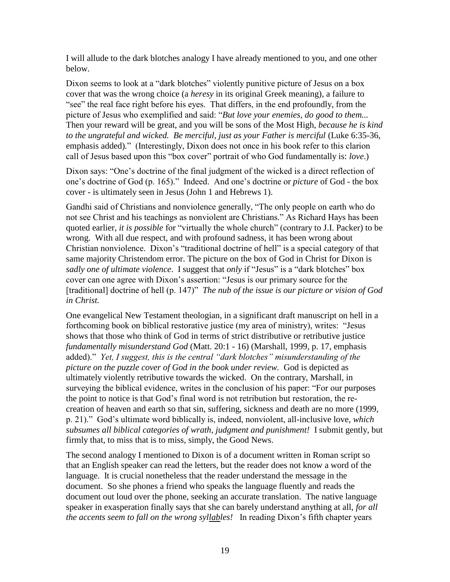I will allude to the dark blotches analogy I have already mentioned to you, and one other below.

Dixon seems to look at a "dark blotches" violently punitive picture of Jesus on a box cover that was the wrong choice (a *heresy* in its original Greek meaning), a failure to "see" the real face right before his eyes. That differs, in the end profoundly, from the picture of Jesus who exemplified and said: "*But love your enemies, do good to them...*  Then your reward will be great, and you will be sons of the Most High, *because he is kind to the ungrateful and wicked. Be merciful, just as your Father is merciful* (Luke 6:35-36, emphasis added)*.*" (Interestingly, Dixon does not once in his book refer to this clarion call of Jesus based upon this "box cover" portrait of who God fundamentally is: *love*.)

Dixon says: "One's doctrine of the final judgment of the wicked is a direct reflection of one's doctrine of God (p. 165)." Indeed. And one's doctrine or *picture* of God - the box cover - is ultimately seen in Jesus (John 1 and Hebrews 1).

Gandhi said of Christians and nonviolence generally, "The only people on earth who do not see Christ and his teachings as nonviolent are Christians." As Richard Hays has been quoted earlier, *it is possible* for "virtually the whole church" (contrary to J.I. Packer) to be wrong. With all due respect, and with profound sadness, it has been wrong about Christian nonviolence. Dixon's "traditional doctrine of hell" is a special category of that same majority Christendom error. The picture on the box of God in Christ for Dixon is *sadly one of ultimate violence*. I suggest that *only* if "Jesus" is a "dark blotches" box cover can one agree with Dixon's assertion: "Jesus is our primary source for the [traditional] doctrine of hell (p. 147)" *The nub of the issue is our picture or vision of God in Christ.*

One evangelical New Testament theologian, in a significant draft manuscript on hell in a forthcoming book on biblical restorative justice (my area of ministry), writes: "Jesus shows that those who think of God in terms of strict distributive or retributive justice *fundamentally misunderstand God* (Matt. 20:1 - 16) (Marshall, 1999, p. 17, emphasis added)." *Yet, I suggest, this is the central "dark blotches" misunderstanding of the picture on the puzzle cover of God in the book under review.* God is depicted as ultimately violently retributive towards the wicked. On the contrary, Marshall, in surveying the biblical evidence, writes in the conclusion of his paper: "For our purposes the point to notice is that God's final word is not retribution but restoration, the recreation of heaven and earth so that sin, suffering, sickness and death are no more (1999, p. 21)." God's ultimate word biblically is, indeed, nonviolent, all-inclusive love, *which subsumes all biblical categories of wrath, judgment and punishment!* I submit gently, but firmly that, to miss that is to miss, simply, the Good News.

The second analogy I mentioned to Dixon is of a document written in Roman script so that an English speaker can read the letters, but the reader does not know a word of the language. It is crucial nonetheless that the reader understand the message in the document. So she phones a friend who speaks the language fluently and reads the document out loud over the phone, seeking an accurate translation. The native language speaker in exasperation finally says that she can barely understand anything at all, *for all the accents seem to fall on the wrong syllables!* In reading Dixon's fifth chapter years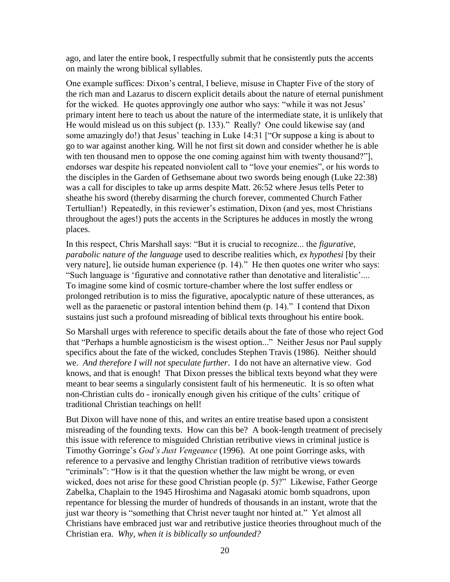ago, and later the entire book, I respectfully submit that he consistently puts the accents on mainly the wrong biblical syllables.

One example suffices: Dixon's central, I believe, misuse in Chapter Five of the story of the rich man and Lazarus to discern explicit details about the nature of eternal punishment for the wicked. He quotes approvingly one author who says: "while it was not Jesus' primary intent here to teach us about the nature of the intermediate state, it is unlikely that He would mislead us on this subject (p. 133)." Really? One could likewise say (and some amazingly do!) that Jesus' teaching in Luke 14:31 ["Or suppose a king is about to go to war against another king. Will he not first sit down and consider whether he is able with ten thousand men to oppose the one coming against him with twenty thousand?". endorses war despite his repeated nonviolent call to "love your enemies", or his words to the disciples in the Garden of Gethsemane about two swords being enough (Luke 22:38) was a call for disciples to take up arms despite Matt. 26:52 where Jesus tells Peter to sheathe his sword (thereby disarming the church forever, commented Church Father Tertullian!) Repeatedly, in this reviewer's estimation, Dixon (and yes, most Christians throughout the ages!) puts the accents in the Scriptures he adduces in mostly the wrong places.

In this respect, Chris Marshall says: "But it is crucial to recognize... the *figurative, parabolic nature of the language* used to describe realities which, *ex hypothesi* [by their very nature], lie outside human experience (p. 14)." He then quotes one writer who says: "Such language is 'figurative and connotative rather than denotative and literalistic'.... To imagine some kind of cosmic torture-chamber where the lost suffer endless or prolonged retribution is to miss the figurative, apocalyptic nature of these utterances, as well as the paraenetic or pastoral intention behind them (p. 14)." I contend that Dixon sustains just such a profound misreading of biblical texts throughout his entire book.

So Marshall urges with reference to specific details about the fate of those who reject God that "Perhaps a humble agnosticism is the wisest option..." Neither Jesus nor Paul supply specifics about the fate of the wicked, concludes Stephen Travis (1986). Neither should we. *And therefore I will not speculate further*. I do not have an alternative view. God knows, and that is enough! That Dixon presses the biblical texts beyond what they were meant to bear seems a singularly consistent fault of his hermeneutic. It is so often what non-Christian cults do - ironically enough given his critique of the cults' critique of traditional Christian teachings on hell!

But Dixon will have none of this, and writes an entire treatise based upon a consistent misreading of the founding texts. How can this be? A book-length treatment of precisely this issue with reference to misguided Christian retributive views in criminal justice is Timothy Gorringe's *God's Just Vengeance* (1996). At one point Gorringe asks, with reference to a pervasive and lengthy Christian tradition of retributive views towards "criminals": "How is it that the question whether the law might be wrong, or even wicked, does not arise for these good Christian people (p. 5)?" Likewise, Father George Zabelka, Chaplain to the 1945 Hiroshima and Nagasaki atomic bomb squadrons, upon repentance for blessing the murder of hundreds of thousands in an instant, wrote that the just war theory is "something that Christ never taught nor hinted at." Yet almost all Christians have embraced just war and retributive justice theories throughout much of the Christian era. *Why, when it is biblically so unfounded?*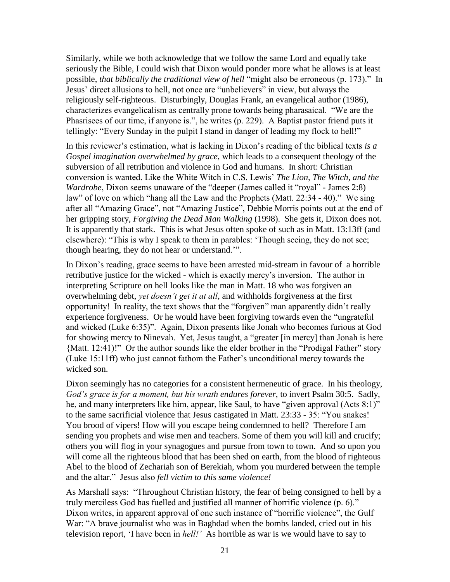Similarly, while we both acknowledge that we follow the same Lord and equally take seriously the Bible, I could wish that Dixon would ponder more what he allows is at least possible, *that biblically the traditional view of hell* "might also be erroneous (p. 173)."In Jesus' direct allusions to hell, not once are "unbelievers" in view, but always the religiously self-righteous. Disturbingly, Douglas Frank, an evangelical author (1986), characterizes evangelicalism as centrally prone towards being pharasaical. "We are the Phasrisees of our time, if anyone is.", he writes (p. 229). A Baptist pastor friend puts it tellingly: "Every Sunday in the pulpit I stand in danger of leading my flock to hell!"

In this reviewer's estimation, what is lacking in Dixon's reading of the biblical texts *is a Gospel imagination overwhelmed by grace*, which leads to a consequent theology of the subversion of all retribution and violence in God and humans. In short: Christian conversion is wanted. Like the White Witch in C.S. Lewis' *The Lion, The Witch, and the Wardrobe*, Dixon seems unaware of the "deeper (James called it "royal" - James 2:8) law" of love on which "hang all the Law and the Prophets (Matt. 22:34 - 40)." We sing after all "Amazing Grace", not "Amazing Justice", Debbie Morris points out at the end of her gripping story, *Forgiving the Dead Man Walking* (1998). She gets it, Dixon does not. It is apparently that stark. This is what Jesus often spoke of such as in Matt. 13:13ff (and elsewhere): "This is why I speak to them in parables: 'Though seeing, they do not see; though hearing, they do not hear or understand.'".

In Dixon's reading, grace seems to have been arrested mid-stream in favour of a horrible retributive justice for the wicked - which is exactly mercy's inversion. The author in interpreting Scripture on hell looks like the man in Matt. 18 who was forgiven an overwhelming debt, *yet doesn't get it at all*, and withholds forgiveness at the first opportunity! In reality, the text shows that the "forgiven" man apparently didn't really experience forgiveness. Or he would have been forgiving towards even the "ungrateful and wicked (Luke 6:35)". Again, Dixon presents like Jonah who becomes furious at God for showing mercy to Ninevah. Yet, Jesus taught, a "greater [in mercy] than Jonah is here {Matt. 12:41)!" Or the author sounds like the elder brother in the "Prodigal Father" story (Luke 15:11ff) who just cannot fathom the Father's unconditional mercy towards the wicked son.

Dixon seemingly has no categories for a consistent hermeneutic of grace. In his theology, *God's grace is for a moment, but his wrath endures forever*, to invert Psalm 30:5. Sadly, he, and many interpreters like him, appear, like Saul, to have "given approval (Acts 8:1)" to the same sacrificial violence that Jesus castigated in Matt. 23:33 - 35: "You snakes! You brood of vipers! How will you escape being condemned to hell? Therefore I am sending you prophets and wise men and teachers. Some of them you will kill and crucify; others you will flog in your synagogues and pursue from town to town. And so upon you will come all the righteous blood that has been shed on earth, from the blood of righteous Abel to the blood of Zechariah son of Berekiah, whom you murdered between the temple and the altar." Jesus also *fell victim to this same violence!*

As Marshall says: "Throughout Christian history, the fear of being consigned to hell by a truly merciless God has fuelled and justified all manner of horrific violence (p. 6)." Dixon writes, in apparent approval of one such instance of "horrific violence", the Gulf War: "A brave journalist who was in Baghdad when the bombs landed, cried out in his television report, 'I have been in *hell!'* As horrible as war is we would have to say to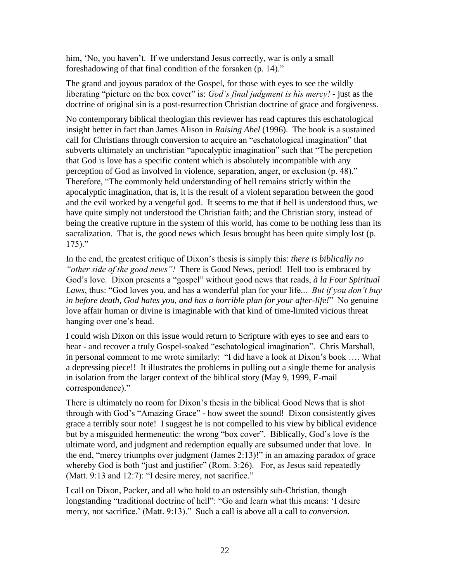him, 'No, you haven't. If we understand Jesus correctly, war is only a small foreshadowing of that final condition of the forsaken (p. 14)."

The grand and joyous paradox of the Gospel, for those with eyes to see the wildly liberating "picture on the box cover" is: *God's final judgment is his mercy!* - just as the doctrine of original sin is a post-resurrection Christian doctrine of grace and forgiveness.

No contemporary biblical theologian this reviewer has read captures this eschatological insight better in fact than James Alison in *Raising Abel* (1996). The book is a sustained call for Christians through conversion to acquire an "eschatological imagination" that subverts ultimately an unchristian "apocalyptic imagination" such that "The percpetion that God is love has a specific content which is absolutely incompatible with any perception of God as involved in violence, separation, anger, or exclusion (p. 48)." Therefore, "The commonly held understanding of hell remains strictly within the apocalyptic imagination, that is, it is the result of a violent separation between the good and the evil worked by a vengeful god. It seems to me that if hell is understood thus, we have quite simply not understood the Christian faith; and the Christian story, instead of being the creative rupture in the system of this world, has come to be nothing less than its sacralization. That is, the good news which Jesus brought has been quite simply lost (p.  $175$ )."

In the end, the greatest critique of Dixon's thesis is simply this: *there is biblically no "other side of the good news"!* There is Good News, period! Hell too is embraced by God's love. Dixon presents a "gospel" without good news that reads, *à la Four Spiritual Laws*, thus: "God loves you, and has a wonderful plan for your life... *But if you don't buy in before death, God hates you, and has a horrible plan for your after-life!*" No genuine love affair human or divine is imaginable with that kind of time-limited vicious threat hanging over one's head.

I could wish Dixon on this issue would return to Scripture with eyes to see and ears to hear - and recover a truly Gospel-soaked "eschatological imagination". Chris Marshall, in personal comment to me wrote similarly: "I did have a look at Dixon's book …. What a depressing piece!! It illustrates the problems in pulling out a single theme for analysis in isolation from the larger context of the biblical story (May 9, 1999, E-mail correspondence)."

There is ultimately no room for Dixon's thesis in the biblical Good News that is shot through with God's "Amazing Grace" - how sweet the sound! Dixon consistently gives grace a terribly sour note! I suggest he is not compelled to his view by biblical evidence but by a misguided hermeneutic: the wrong "box cover". Biblically, God's love *is* the ultimate word, and judgment and redemption equally are subsumed under that love. In the end, "mercy triumphs over judgment (James 2:13)!" in an amazing paradox of grace whereby God is both "just and justifier" (Rom. 3:26). For, as Jesus said repeatedly (Matt. 9:13 and 12:7): "I desire mercy, not sacrifice."

I call on Dixon, Packer, and all who hold to an ostensibly sub-Christian, though longstanding "traditional doctrine of hell": "Go and learn what this means: 'I desire mercy, not sacrifice.' (Matt. 9:13)." Such a call is above all a call to *conversion.*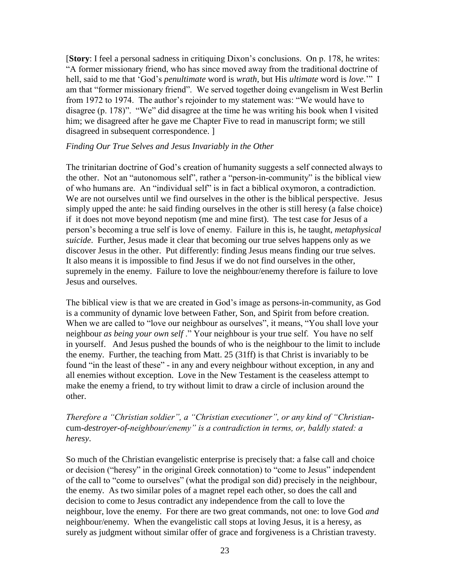[**Story**: I feel a personal sadness in critiquing Dixon's conclusions. On p. 178, he writes: "A former missionary friend, who has since moved away from the traditional doctrine of hell, said to me that 'God's *penultimate* word is *wrath*, but His *ultimate* word is *love*.'" I am that "former missionary friend". We served together doing evangelism in West Berlin from 1972 to 1974. The author's rejoinder to my statement was: "We would have to disagree (p. 178)". "We" did disagree at the time he was writing his book when I visited him; we disagreed after he gave me Chapter Five to read in manuscript form; we still disagreed in subsequent correspondence. ]

## *Finding Our True Selves and Jesus Invariably in the Other*

The trinitarian doctrine of God's creation of humanity suggests a self connected always to the other.Not an "autonomous self", rather a "person-in-community" is the biblical view of who humans are. An "individual self" is in fact a biblical oxymoron, a contradiction. We are not ourselves until we find ourselves in the other is the biblical perspective. Jesus simply upped the ante: he said finding ourselves in the other is still heresy (a false choice) if it does not move beyond nepotism (me and mine first). The test case for Jesus of a person's becoming a true self is love of enemy. Failure in this is, he taught, *metaphysical suicide*. Further, Jesus made it clear that becoming our true selves happens only as we discover Jesus in the other. Put differently: finding Jesus means finding our true selves. It also means it is impossible to find Jesus if we do not find ourselves in the other, supremely in the enemy. Failure to love the neighbour/enemy therefore is failure to love Jesus and ourselves.

The biblical view is that we are created in God's image as persons-in-community, as God is a community of dynamic love between Father, Son, and Spirit from before creation. When we are called to "love our neighbour as ourselves", it means, "You shall love your neighbour *as being your own self* ." Your neighbour is your true self. You have no self in yourself. And Jesus pushed the bounds of who is the neighbour to the limit to include the enemy. Further, the teaching from Matt. 25 (31ff) is that Christ is invariably to be found "in the least of these" - in any and every neighbour without exception, in any and all enemies without exception. Love in the New Testament is the ceaseless attempt to make the enemy a friend, to try without limit to draw a circle of inclusion around the other.

# *Therefore a "Christian soldier", a "Christian executioner", or any kind of "Christian*cum*-destroyer-of-neighbour/enemy" is a contradiction in terms, or, baldly stated: a heresy*.

So much of the Christian evangelistic enterprise is precisely that: a false call and choice or decision ("heresy" in the original Greek connotation) to "come to Jesus" independent of the call to "come to ourselves" (what the prodigal son did) precisely in the neighbour, the enemy. As two similar poles of a magnet repel each other, so does the call and decision to come to Jesus contradict any independence from the call to love the neighbour, love the enemy. For there are two great commands, not one: to love God *and* neighbour/enemy. When the evangelistic call stops at loving Jesus, it is a heresy, as surely as judgment without similar offer of grace and forgiveness is a Christian travesty.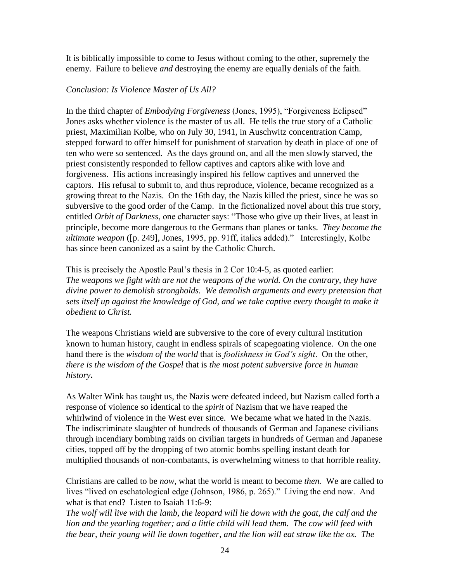It is biblically impossible to come to Jesus without coming to the other, supremely the enemy. Failure to believe *and* destroying the enemy are equally denials of the faith.

#### *Conclusion: Is Violence Master of Us All?*

In the third chapter of *Embodying Forgiveness* (Jones, 1995), "Forgiveness Eclipsed" Jones asks whether violence is the master of us all. He tells the true story of a Catholic priest, Maximilian Kolbe, who on July 30, 1941, in Auschwitz concentration Camp, stepped forward to offer himself for punishment of starvation by death in place of one of ten who were so sentenced. As the days ground on, and all the men slowly starved, the priest consistently responded to fellow captives and captors alike with love and forgiveness. His actions increasingly inspired his fellow captives and unnerved the captors. His refusal to submit to, and thus reproduce, violence, became recognized as a growing threat to the Nazis. On the 16th day, the Nazis killed the priest, since he was so subversive to the good order of the Camp. In the fictionalized novel about this true story, entitled *Orbit of Darkness*, one character says: "Those who give up their lives, at least in principle, become more dangerous to the Germans than planes or tanks. *They become the ultimate weapon* ([p. 249], Jones*,* 1995, pp. 91ff, italics added)." Interestingly, Kolbe has since been canonized as a saint by the Catholic Church.

This is precisely the Apostle Paul's thesis in 2 Cor 10:4-5, as quoted earlier: *The weapons we fight with are not the weapons of the world. On the contrary, they have divine power to demolish strongholds. We demolish arguments and every pretension that sets itself up against the knowledge of God, and we take captive every thought to make it obedient to Christ.* 

The weapons Christians wield are subversive to the core of every cultural institution known to human history, caught in endless spirals of scapegoating violence. On the one hand there is the *wisdom of the world* that is *foolishness in God's sight*. On the other, *there is the wisdom of the Gospel* that is *the most potent subversive force in human history***.**

As Walter Wink has taught us, the Nazis were defeated indeed, but Nazism called forth a response of violence so identical to the *spirit* of Nazism that we have reaped the whirlwind of violence in the West ever since. We became what we hated in the Nazis. The indiscriminate slaughter of hundreds of thousands of German and Japanese civilians through incendiary bombing raids on civilian targets in hundreds of German and Japanese cities, topped off by the dropping of two atomic bombs spelling instant death for multiplied thousands of non-combatants, is overwhelming witness to that horrible reality.

Christians are called to be *now*, what the world is meant to become *then.* We are called to lives "lived on eschatological edge (Johnson, 1986, p. 265)." Living the end now. And what is that end? Listen to Isaiah 11:6-9:

*The wolf will live with the lamb, the leopard will lie down with the goat, the calf and the lion and the yearling together; and a little child will lead them. The cow will feed with the bear, their young will lie down together, and the lion will eat straw like the ox. The*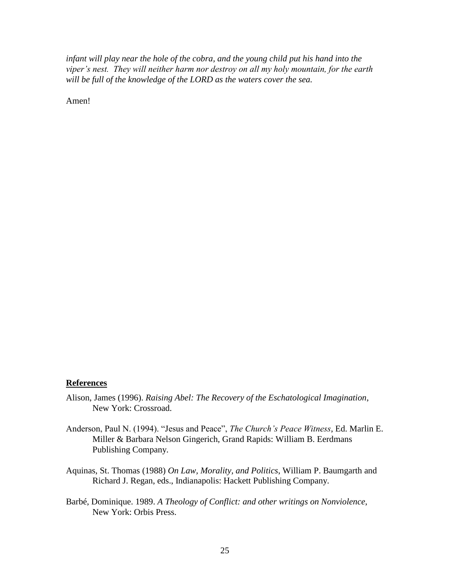*infant will play near the hole of the cobra, and the young child put his hand into the viper's nest. They will neither harm nor destroy on all my holy mountain, for the earth will be full of the knowledge of the LORD as the waters cover the sea.*

Amen!

#### **References**

- Alison, James (1996). *Raising Abel: The Recovery of the Eschatological Imagination*, New York: Crossroad.
- Anderson, Paul N. (1994). "Jesus and Peace", *The Church's Peace Witness*, Ed. Marlin E. Miller & Barbara Nelson Gingerich, Grand Rapids: William B. Eerdmans Publishing Company.
- Aquinas, St. Thomas (1988) *On Law, Morality, and Politics*, William P. Baumgarth and Richard J. Regan, eds., Indianapolis: Hackett Publishing Company.
- Barbé, Dominique. 1989. *A Theology of Conflict: and other writings on Nonviolence*, New York: Orbis Press.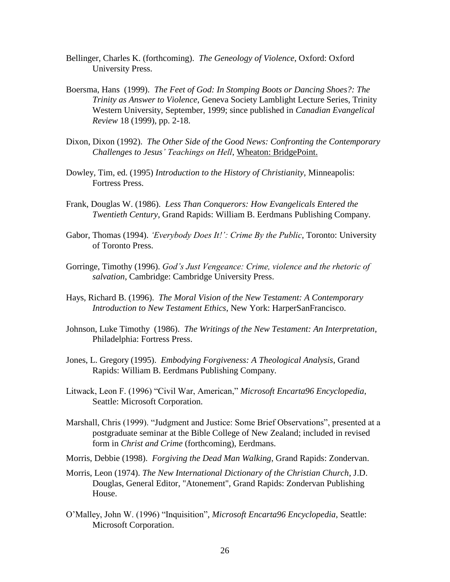- Bellinger, Charles K. (forthcoming). *The Geneology of Violence*, Oxford: Oxford University Press.
- Boersma, Hans (1999). *The Feet of God: In Stomping Boots or Dancing Shoes?: The Trinity as Answer to Violence*, Geneva Society Lamblight Lecture Series, Trinity Western University, September, 1999; since published in *Canadian Evangelical Review* 18 (1999), pp. 2-18.
- Dixon, Dixon (1992). *The Other Side of the Good News: Confronting the Contemporary Challenges to Jesus' Teachings on Hell*, Wheaton: BridgePoint.
- Dowley, Tim, ed. (1995) *Introduction to the History of Christianity*, Minneapolis: Fortress Press.
- Frank, Douglas W. (1986). *Less Than Conquerors: How Evangelicals Entered the Twentieth Century*, Grand Rapids: William B. Eerdmans Publishing Company.
- Gabor, Thomas (1994). *'Everybody Does It!': Crime By the Public*, Toronto: University of Toronto Press.
- Gorringe, Timothy (1996). *God's Just Vengeance: Crime, violence and the rhetoric of salvation*, Cambridge: Cambridge University Press.
- Hays, Richard B. (1996). *The Moral Vision of the New Testament: A Contemporary Introduction to New Testament Ethics*, New York: HarperSanFrancisco.
- Johnson, Luke Timothy (1986). *The Writings of the New Testament: An Interpretation*, Philadelphia: Fortress Press.
- Jones, L. Gregory (1995). *Embodying Forgiveness: A Theological Analysis*, Grand Rapids: William B. Eerdmans Publishing Company.
- Litwack, Leon F. (1996) "Civil War, American," *Microsoft Encarta96 Encyclopedia*, Seattle: Microsoft Corporation.
- Marshall, Chris (1999). "Judgment and Justice: Some Brief Observations", presented at a postgraduate seminar at the Bible College of New Zealand; included in revised form in *Christ and Crime* (forthcoming), Eerdmans.
- Morris, Debbie (1998). *Forgiving the Dead Man Walking*, Grand Rapids: Zondervan.
- Morris, Leon (1974). *The New International Dictionary of the Christian Church*, J.D. Douglas, General Editor, "Atonement", Grand Rapids: Zondervan Publishing House.
- O'Malley, John W. (1996) "Inquisition"*, Microsoft Encarta96 Encyclopedia*, Seattle: Microsoft Corporation.